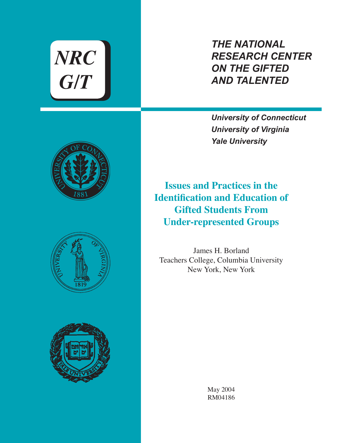

# *THE NATIONAL RESEARCH CENTER ON THE GIFTED AND TALENTED*

*University of Connecticut University of Virginia Yale University*







**Issues and Practices in the Identification and Education of Gifted Students From Under-represented Groups**

James H. Borland Teachers College, Columbia University New York, New York

> May 2004 RM04186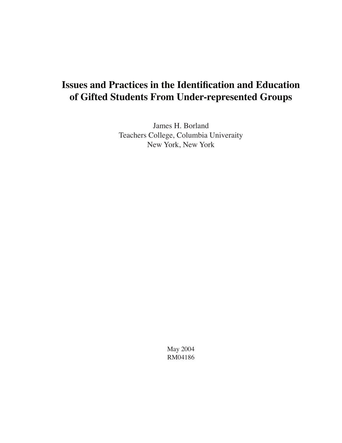# **Issues and Practices in the Identification and Education of Gifted Students From Under-represented Groups**

James H. Borland Teachers College, Columbia Univeraity New York, New York

> May 2004 RM04186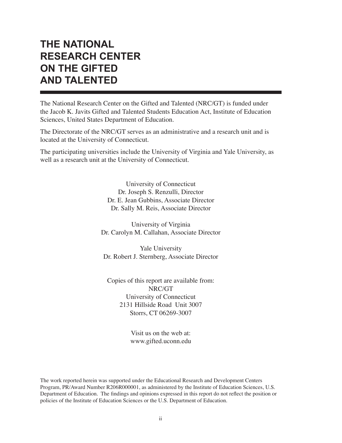# **THE NATIONAL RESEARCH CENTER ON THE GIFTED AND TALENTED**

The National Research Center on the Gifted and Talented (NRC/GT) is funded under the Jacob K. Javits Gifted and Talented Students Education Act, Institute of Education Sciences, United States Department of Education.

The Directorate of the NRC/GT serves as an administrative and a research unit and is located at the University of Connecticut.

The participating universities include the University of Virginia and Yale University, as well as a research unit at the University of Connecticut.

> University of Connecticut Dr. Joseph S. Renzulli, Director Dr. E. Jean Gubbins, Associate Director Dr. Sally M. Reis, Associate Director

University of Virginia Dr. Carolyn M. Callahan, Associate Director

Yale University Dr. Robert J. Sternberg, Associate Director

Copies of this report are available from: NRC/GT University of Connecticut 2131 Hillside Road Unit 3007 Storrs, CT 06269-3007

> Visit us on the web at: www.gifted.uconn.edu

The work reported herein was supported under the Educational Research and Development Centers Program, PR/Award Number R206R000001, as administered by the Institute of Education Sciences, U.S. Department of Education. The findings and opinions expressed in this report do not reflect the position or policies of the Institute of Education Sciences or the U.S. Department of Education.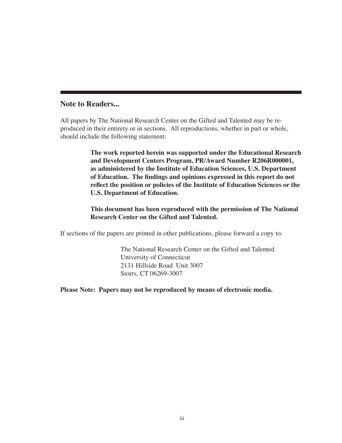## **Note to Readers...**

All papers by The National Research Center on the Gifted and Talented may be reproduced in their entirety or in sections. All reproductions, whether in part or whole, should include the following statement:

> **The work reported herein was supported under the Educational Research and Development Centers Program, PR/Award Number R206R000001, as administered by the Institute of Education Sciences, U.S. Department of Education. The findings and opinions expressed in this report do not reflect the position or policies of the Institute of Education Sciences or the U.S. Department of Education.**

**This document has been reproduced with the permission of The National Research Center on the Gifted and Talented.**

If sections of the papers are printed in other publications, please forward a copy to:

The National Research Center on the Gifted and Talented University of Connecticut 2131 Hillside Road Unit 3007 Storrs, CT 06269-3007

**Please Note: Papers may not be reproduced by means of electronic media.**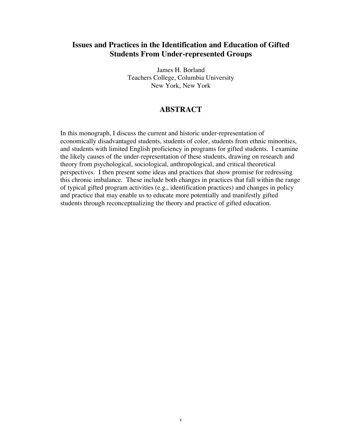## **Issues and Practices in the Identification and Education of Gifted Students From Under-represented Groups**

James H. Borland Teachers College, Columbia University New York, New York

## **ABSTRACT**

In this monograph, I discuss the current and historic under-representation of economically disadvantaged students, students of color, students from ethnic minorities, and students with limited English proficiency in programs for gifted students. I examine the likely causes of the under-representation of these students, drawing on research and theory from psychological, sociological, anthropological, and critical theoretical perspectives. I then present some ideas and practices that show promise for redressing this chronic imbalance. These include both changes in practices that fall within the range of typical gifted program activities (e.g., identification practices) and changes in policy and practice that may enable us to educate more potentially and manifestly gifted students through reconceptualizing the theory and practice of gifted education.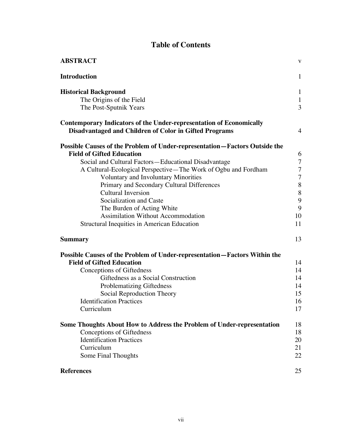## **Table of Contents**

| <b>ABSTRACT</b>                                                                                                                      | $\mathbf{V}$   |
|--------------------------------------------------------------------------------------------------------------------------------------|----------------|
| <b>Introduction</b>                                                                                                                  | 1              |
| <b>Historical Background</b>                                                                                                         | $\mathbf{1}$   |
| The Origins of the Field                                                                                                             | $\mathbf{1}$   |
| The Post-Sputnik Years                                                                                                               | 3              |
| <b>Contemporary Indicators of the Under-representation of Economically</b><br>Disadvantaged and Children of Color in Gifted Programs | $\overline{4}$ |
| <b>Possible Causes of the Problem of Under-representation—Factors Outside the</b>                                                    |                |
| <b>Field of Gifted Education</b>                                                                                                     | 6              |
| Social and Cultural Factors-Educational Disadvantage                                                                                 | $\overline{7}$ |
| A Cultural-Ecological Perspective—The Work of Ogbu and Fordham                                                                       | 7              |
| <b>Voluntary and Involuntary Minorities</b>                                                                                          | $\overline{7}$ |
| Primary and Secondary Cultural Differences                                                                                           | 8              |
| <b>Cultural Inversion</b>                                                                                                            | 8              |
| Socialization and Caste                                                                                                              | 9              |
| The Burden of Acting White                                                                                                           | 9              |
| <b>Assimilation Without Accommodation</b>                                                                                            | 10             |
| <b>Structural Inequities in American Education</b>                                                                                   | 11             |
| <b>Summary</b>                                                                                                                       | 13             |
| Possible Causes of the Problem of Under-representation-Factors Within the                                                            |                |
| <b>Field of Gifted Education</b>                                                                                                     | 14             |
| Conceptions of Giftedness                                                                                                            | 14             |
| Giftedness as a Social Construction                                                                                                  | 14             |
| <b>Problematizing Giftedness</b>                                                                                                     | 14             |
| Social Reproduction Theory                                                                                                           | 15             |
| <b>Identification Practices</b>                                                                                                      | 16             |
| Curriculum                                                                                                                           | 17             |
| Some Thoughts About How to Address the Problem of Under-representation                                                               | 18             |
| Conceptions of Giftedness                                                                                                            | 18             |
| <b>Identification Practices</b>                                                                                                      | 20             |
| Curriculum                                                                                                                           | 21             |
| Some Final Thoughts                                                                                                                  | 22             |
| <b>References</b>                                                                                                                    | 25             |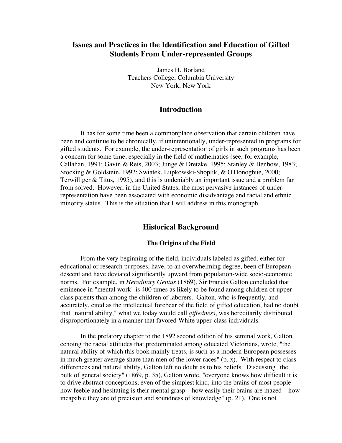## **Issues and Practices in the Identification and Education of Gifted Students From Under-represented Groups**

James H. Borland Teachers College, Columbia University New York, New York

## **Introduction**

It has for some time been a commonplace observation that certain children have been and continue to be chronically, if unintentionally, under-represented in programs for gifted students. For example, the under-representation of girls in such programs has been a concern for some time, especially in the field of mathematics (see, for example, Callahan, 1991; Gavin & Reis, 2003; Junge & Dretzke, 1995; Stanley & Benbow, 1983; Stocking & Goldstein, 1992; Swiatek, Lupkowski-Shoplik, & O'Donoghue, 2000; Terwilliger & Titus, 1995), and this is undeniably an important issue and a problem far from solved. However, in the United States, the most pervasive instances of underrepresentation have been associated with economic disadvantage and racial and ethnic minority status. This is the situation that I will address in this monograph.

## **Historical Background**

## **The Origins of the Field**

From the very beginning of the field, individuals labeled as gifted, either for educational or research purposes, have, to an overwhelming degree, been of European descent and have deviated significantly upward from population-wide socio-economic norms. For example, in *Hereditary Genius* (1869), Sir Francis Galton concluded that eminence in "mental work" is 400 times as likely to be found among children of upperclass parents than among the children of laborers. Galton, who is frequently, and accurately, cited as the intellectual forebear of the field of gifted education, had no doubt that "natural ability," what we today would call *giftedness*, was hereditarily distributed disproportionately in a manner that favored White upper-class individuals.

In the prefatory chapter to the 1892 second edition of his seminal work, Galton, echoing the racial attitudes that predominated among educated Victorians, wrote, "the natural ability of which this book mainly treats, is such as a modern European possesses in much greater average share than men of the lower races" (p. x). With respect to class differences and natural ability, Galton left no doubt as to his beliefs. Discussing "the bulk of general society" (1869, p. 35), Galton wrote, "everyone knows how difficult it is to drive abstract conceptions, even of the simplest kind, into the brains of most people how feeble and hesitating is their mental grasp—how easily their brains are mazed—how incapable they are of precision and soundness of knowledge" (p. 21). One is not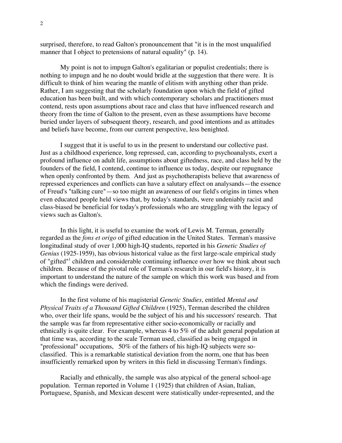surprised, therefore, to read Galton's pronouncement that "it is in the most unqualified manner that I object to pretensions of natural equality" (p. 14).

My point is not to impugn Galton's egalitarian or populist credentials; there is nothing to impugn and he no doubt would bridle at the suggestion that there were. It is difficult to think of him wearing the mantle of elitism with anything other than pride. Rather, I am suggesting that the scholarly foundation upon which the field of gifted education has been built, and with which contemporary scholars and practitioners must contend, rests upon assumptions about race and class that have influenced research and theory from the time of Galton to the present, even as these assumptions have become buried under layers of subsequent theory, research, and good intentions and as attitudes and beliefs have become, from our current perspective, less benighted.

I suggest that it is useful to us in the present to understand our collective past. Just as a childhood experience, long repressed, can, according to psychoanalysts, exert a profound influence on adult life, assumptions about giftedness, race, and class held by the founders of the field, I contend, continue to influence us today, despite our repugnance when openly confronted by them. And just as psychotherapists believe that awareness of repressed experiences and conflicts can have a salutary effect on analysands—the essence of Freud's "talking cure"—so too might an awareness of our field's origins in times when even educated people held views that, by today's standards, were undeniably racist and class-biased be beneficial for today's professionals who are struggling with the legacy of views such as Galton's.

In this light, it is useful to examine the work of Lewis M. Terman, generally regarded as the *fons et origo* of gifted education in the United States. Terman's massive longitudinal study of over 1,000 high-IQ students, reported in his *Genetic Studies of Genius* (1925-1959), has obvious historical value as the first large-scale empirical study of "gifted"1 children and considerable continuing influence over how we think about such children. Because of the pivotal role of Terman's research in our field's history, it is important to understand the nature of the sample on which this work was based and from which the findings were derived.

In the first volume of his magisterial *Genetic Studies*, entitled *Mental and Physical Traits of a Thousand Gifted Children* (1925), Terman described the children who, over their life spans, would be the subject of his and his successors' research. That the sample was far from representative either socio-economically or racially and ethnically is quite clear. For example, whereas 4 to 5% of the adult general population at that time was, according to the scale Terman used, classified as being engaged in "professional" occupations, 50% of the fathers of his high-IQ subjects were soclassified. This is a remarkable statistical deviation from the norm, one that has been insufficiently remarked upon by writers in this field in discussing Terman's findings.

Racially and ethnically, the sample was also atypical of the general school-age population. Terman reported in Volume 1 (1925) that children of Asian, Italian, Portuguese, Spanish, and Mexican descent were statistically under-represented, and the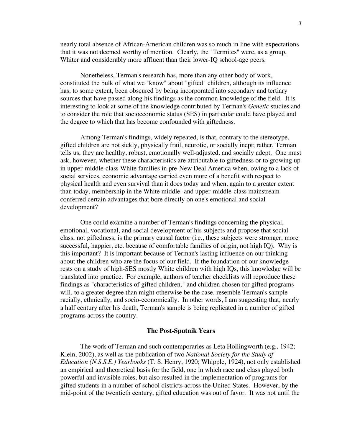nearly total absence of African-American children was so much in line with expectations that it was not deemed worthy of mention. Clearly, the "Termites" were, as a group, Whiter and considerably more affluent than their lower-IQ school-age peers.

Nonetheless, Terman's research has, more than any other body of work, constituted the bulk of what we "know" about "gifted" children, although its influence has, to some extent, been obscured by being incorporated into secondary and tertiary sources that have passed along his findings as the common knowledge of the field. It is interesting to look at some of the knowledge contributed by Terman's *Genetic* studies and to consider the role that socioeconomic status (SES) in particular could have played and the degree to which that has become confounded with giftedness.

Among Terman's findings, widely repeated, is that, contrary to the stereotype, gifted children are not sickly, physically frail, neurotic, or socially inept; rather, Terman tells us, they are healthy, robust, emotionally well-adjusted, and socially adept. One must ask, however, whether these characteristics are attributable to giftedness or to growing up in upper-middle-class White families in pre-New Deal America when, owing to a lack of social services, economic advantage carried even more of a benefit with respect to physical health and even survival than it does today and when, again to a greater extent than today, membership in the White middle- and upper-middle-class mainstream conferred certain advantages that bore directly on one's emotional and social development?

One could examine a number of Terman's findings concerning the physical, emotional, vocational, and social development of his subjects and propose that social class, not giftedness, is the primary causal factor (i.e., these subjects were stronger, more successful, happier, etc. because of comfortable families of origin, not high IQ). Why is this important? It is important because of Terman's lasting influence on our thinking about the children who are the focus of our field. If the foundation of our knowledge rests on a study of high-SES mostly White children with high IQs, this knowledge will be translated into practice. For example, authors of teacher checklists will reproduce these findings as "characteristics of gifted children," and children chosen for gifted programs will, to a greater degree than might otherwise be the case, resemble Terman's sample racially, ethnically, and socio-economically. In other words, I am suggesting that, nearly a half century after his death, Terman's sample is being replicated in a number of gifted programs across the country.

#### **The Post-Sputnik Years**

The work of Terman and such contemporaries as Leta Hollingworth (e.g., 1942; Klein, 2002), as well as the publication of two *National Society for the Study of Education (N.S.S.E.) Yearbooks* (T. S. Henry, 1920; Whipple, 1924), not only established an empirical and theoretical basis for the field, one in which race and class played both powerful and invisible roles, but also resulted in the implementation of programs for gifted students in a number of school districts across the United States. However, by the mid-point of the twentieth century, gifted education was out of favor. It was not until the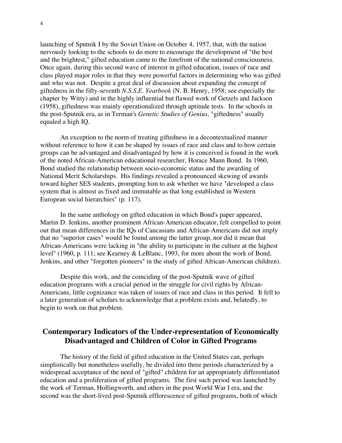launching of Sputnik I by the Soviet Union on October 4, 1957, that, with the nation nervously looking to the schools to do more to encourage the development of "the best and the brightest," gifted education came to the forefront of the national consciousness. Once again, during this second wave of interest in gifted education, issues of race and class played major roles in that they were powerful factors in determining who was gifted and who was not. Despite a great deal of discussion about expanding the concept of giftedness in the fifty-seventh *N.S.S.E. Yearbook* (N. B. Henry, 1958; see especially the chapter by Witty) and in the highly influential but flawed work of Getzels and Jackson (1958), giftedness was mainly operationalized through aptitude tests. In the schools in the post-Sputnik era, as in Terman's *Genetic Studies of Genius*, "giftedness" usually equaled a high IQ.

An exception to the norm of treating giftedness in a decontextualized manner without reference to how it can be shaped by issues of race and class and to how certain groups can be advantaged and disadvantaged by how it is conceived is found in the work of the noted African-American educational researcher, Horace Mann Bond. In 1960, Bond studied the relationship between socio-economic status and the awarding of National Merit Scholarships. His findings revealed a pronounced skewing of awards toward higher SES students, prompting him to ask whether we have "developed a class system that is almost as fixed and immutable as that long established in Western European social hierarchies" (p. 117).

In the same anthology on gifted education in which Bond's paper appeared, Martin D. Jenkins, another prominent African-American educator, felt compelled to point out that mean differences in the IQs of Caucasians and African-Americans did not imply that no "superior cases" would be found among the latter group, nor did it mean that African-Americans were lacking in "the ability to participate in the culture at the highest level" (1960, p. 111; see Kearney & LeBlanc, 1993, for more about the work of Bond, Jenkins, and other "forgotten pioneers" in the study of gifted African-American children).

Despite this work, and the coinciding of the post-Sputnik wave of gifted education programs with a crucial period in the struggle for civil rights by African-Americans, little cognizance was taken of issues of race and class in this period. It fell to a later generation of scholars to acknowledge that a problem exists and, belatedly, to begin to work on that problem.

## **Contemporary Indicators of the Under-representation of Economically Disadvantaged and Children of Color in Gifted Programs**

The history of the field of gifted education in the United States can, perhaps simplistically but nonetheless usefully, be divided into three periods characterized by a widespread acceptance of the need of "gifted" children for an appropriately differentiated education and a proliferation of gifted programs. The first such period was launched by the work of Terman, Hollingworth, and others in the post World War I era, and the second was the short-lived post-Sputnik efflorescence of gifted programs, both of which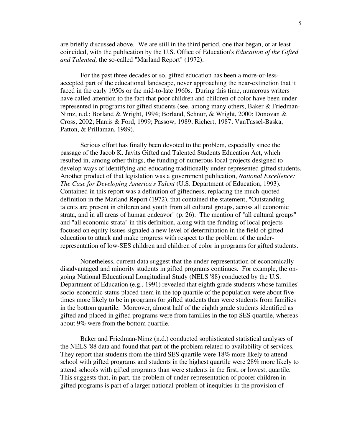are briefly discussed above. We are still in the third period, one that began, or at least coincided, with the publication by the U.S. Office of Education's *Education of the Gifted and Talented,* the so-called "Marland Report" (1972).

For the past three decades or so, gifted education has been a more-or-lessaccepted part of the educational landscape, never approaching the near-extinction that it faced in the early 1950s or the mid-to-late 1960s. During this time, numerous writers have called attention to the fact that poor children and children of color have been underrepresented in programs for gifted students (see, among many others, Baker & Friedman-Nimz, n.d.; Borland & Wright, 1994; Borland, Schnur, & Wright, 2000; Donovan & Cross, 2002; Harris & Ford, 1999; Passow, 1989; Richert, 1987; VanTassel-Baska, Patton, & Prillaman, 1989).

Serious effort has finally been devoted to the problem, especially since the passage of the Jacob K. Javits Gifted and Talented Students Education Act, which resulted in, among other things, the funding of numerous local projects designed to develop ways of identifying and educating traditionally under-represented gifted students. Another product of that legislation was a government publication, *National Excellence: The Case for Developing America's Talent* (U.S. Department of Education, 1993). Contained in this report was a definition of giftedness, replacing the much-quoted definition in the Marland Report (1972), that contained the statement, "Outstanding talents are present in children and youth from all cultural groups, across all economic strata, and in all areas of human endeavor" (p. 26). The mention of "all cultural groups" and "all economic strata" in this definition, along with the funding of local projects focused on equity issues signaled a new level of determination in the field of gifted education to attack and make progress with respect to the problem of the underrepresentation of low-SES children and children of color in programs for gifted students.

Nonetheless, current data suggest that the under-representation of economically disadvantaged and minority students in gifted programs continues. For example, the ongoing National Educational Longitudinal Study (NELS '88) conducted by the U.S. Department of Education (e.g., 1991) revealed that eighth grade students whose families' socio-economic status placed them in the top quartile of the population were about five times more likely to be in programs for gifted students than were students from families in the bottom quartile. Moreover, almost half of the eighth grade students identified as gifted and placed in gifted programs were from families in the top SES quartile, whereas about 9% were from the bottom quartile.

Baker and Friedman-Nimz (n.d.) conducted sophisticated statistical analyses of the NELS '88 data and found that part of the problem related to availability of services. They report that students from the third SES quartile were 18% more likely to attend school with gifted programs and students in the highest quartile were 28% more likely to attend schools with gifted programs than were students in the first, or lowest, quartile. This suggests that, in part, the problem of under-representation of poorer children in gifted programs is part of a larger national problem of inequities in the provision of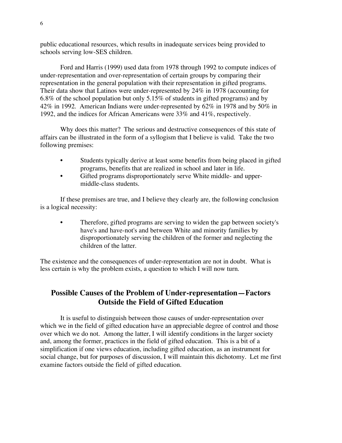public educational resources, which results in inadequate services being provided to schools serving low-SES children.

Ford and Harris (1999) used data from 1978 through 1992 to compute indices of under-representation and over-representation of certain groups by comparing their representation in the general population with their representation in gifted programs. Their data show that Latinos were under-represented by 24% in 1978 (accounting for 6.8% of the school population but only 5.15% of students in gifted programs) and by 42% in 1992. American Indians were under-represented by 62% in 1978 and by 50% in 1992, and the indices for African Americans were 33% and 41%, respectively.

Why does this matter? The serious and destructive consequences of this state of affairs can be illustrated in the form of a syllogism that I believe is valid. Take the two following premises:

- Students typically derive at least some benefits from being placed in gifted programs, benefits that are realized in school and later in life.
- Gifted programs disproportionately serve White middle- and uppermiddle-class students.

If these premises are true, and I believe they clearly are, the following conclusion is a logical necessity:

• Therefore, gifted programs are serving to widen the gap between society's have's and have-not's and between White and minority families by disproportionately serving the children of the former and neglecting the children of the latter.

The existence and the consequences of under-representation are not in doubt. What is less certain is why the problem exists, a question to which I will now turn.

## **Possible Causes of the Problem of Under-representation—Factors Outside the Field of Gifted Education**

It is useful to distinguish between those causes of under-representation over which we in the field of gifted education have an appreciable degree of control and those over which we do not. Among the latter, I will identify conditions in the larger society and, among the former, practices in the field of gifted education. This is a bit of a simplification if one views education, including gifted education, as an instrument for social change, but for purposes of discussion, I will maintain this dichotomy. Let me first examine factors outside the field of gifted education.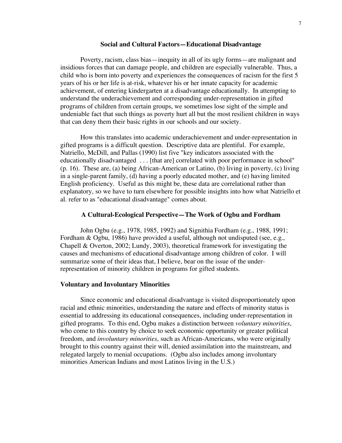#### **Social and Cultural Factors—Educational Disadvantage**

Poverty, racism, class bias—inequity in all of its ugly forms—are malignant and insidious forces that can damage people, and children are especially vulnerable. Thus, a child who is born into poverty and experiences the consequences of racism for the first 5 years of his or her life is at-risk, whatever his or her innate capacity for academic achievement, of entering kindergarten at a disadvantage educationally. In attempting to understand the underachievement and corresponding under-representation in gifted programs of children from certain groups, we sometimes lose sight of the simple and undeniable fact that such things as poverty hurt all but the most resilient children in ways that can deny them their basic rights in our schools and our society.

How this translates into academic underachievement and under-representation in gifted programs is a difficult question. Descriptive data are plentiful. For example, Natriello, McDill, and Pallas (1990) list five "key indicators associated with the educationally disadvantaged ... [that are] correlated with poor performance in school" (p. 16). These are, (a) being African-American or Latino, (b) living in poverty, (c) living in a single-parent family, (d) having a poorly educated mother, and (e) having limited English proficiency. Useful as this might be, these data are correlational rather than explanatory, so we have to turn elsewhere for possible insights into how what Natriello et al. refer to as "educational disadvantage" comes about.

## **A Cultural-Ecological Perspective—The Work of Ogbu and Fordham**

John Ogbu (e.g., 1978, 1985, 1992) and Signithia Fordham (e.g., 1988, 1991; Fordham & Ogbu, 1986) have provided a useful, although not undisputed (see, e.g., Chapell & Overton, 2002; Lundy, 2003), theoretical framework for investigating the causes and mechanisms of educational disadvantage among children of color. I will summarize some of their ideas that, I believe, bear on the issue of the underrepresentation of minority children in programs for gifted students.

#### **Voluntary and Involuntary Minorities**

Since economic and educational disadvantage is visited disproportionately upon racial and ethnic minorities, understanding the nature and effects of minority status is essential to addressing its educational consequences, including under-representation in gifted programs. To this end, Ogbu makes a distinction between *voluntary minorities*, who come to this country by choice to seek economic opportunity or greater political freedom, and *involuntary minorities*, such as African-Americans, who were originally brought to this country against their will, denied assimilation into the mainstream, and relegated largely to menial occupations. (Ogbu also includes among involuntary minorities American Indians and most Latinos living in the U.S.)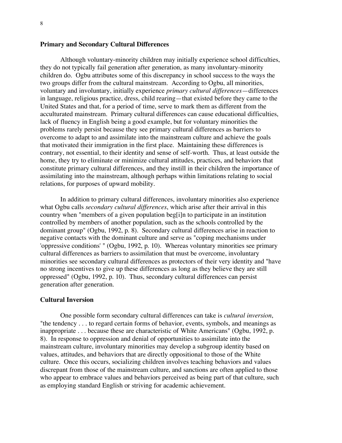#### **Primary and Secondary Cultural Differences**

Although voluntary-minority children may initially experience school difficulties, they do not typically fail generation after generation, as many involuntary-minority children do. Ogbu attributes some of this discrepancy in school success to the ways the two groups differ from the cultural mainstream. According to Ogbu, all minorities, voluntary and involuntary, initially experience *primary cultural differences*—differences in language, religious practice, dress, child rearing—that existed before they came to the United States and that, for a period of time, serve to mark them as different from the acculturated mainstream. Primary cultural differences can cause educational difficulties, lack of fluency in English being a good example, but for voluntary minorities the problems rarely persist because they see primary cultural differences as barriers to overcome to adapt to and assimilate into the mainstream culture and achieve the goals that motivated their immigration in the first place. Maintaining these differences is contrary, not essential, to their identity and sense of self-worth. Thus, at least outside the home, they try to eliminate or minimize cultural attitudes, practices, and behaviors that constitute primary cultural differences, and they instill in their children the importance of assimilating into the mainstream, although perhaps within limitations relating to social relations, for purposes of upward mobility.

In addition to primary cultural differences, involuntary minorities also experience what Ogbu calls *secondary cultural differences*, which arise after their arrival in this country when "members of a given population beg[i]n to participate in an institution controlled by members of another population, such as the schools controlled by the dominant group" (Ogbu, 1992, p. 8). Secondary cultural differences arise in reaction to negative contacts with the dominant culture and serve as "coping mechanisms under 'oppressive conditions' " (Ogbu, 1992, p. 10). Whereas voluntary minorities see primary cultural differences as barriers to assimilation that must be overcome, involuntary minorities see secondary cultural differences as protectors of their very identity and "have no strong incentives to give up these differences as long as they believe they are still oppressed" (Ogbu, 1992, p. 10). Thus, secondary cultural differences can persist generation after generation.

#### **Cultural Inversion**

One possible form secondary cultural differences can take is *cultural inversion*, "the tendency . . . to regard certain forms of behavior, events, symbols, and meanings as inappropriate . . . because these are characteristic of White Americans" (Ogbu, 1992, p. 8). In response to oppression and denial of opportunities to assimilate into the mainstream culture, involuntary minorities may develop a subgroup identity based on values, attitudes, and behaviors that are directly oppositional to those of the White culture. Once this occurs, socializing children involves teaching behaviors and values discrepant from those of the mainstream culture, and sanctions are often applied to those who appear to embrace values and behaviors perceived as being part of that culture, such as employing standard English or striving for academic achievement.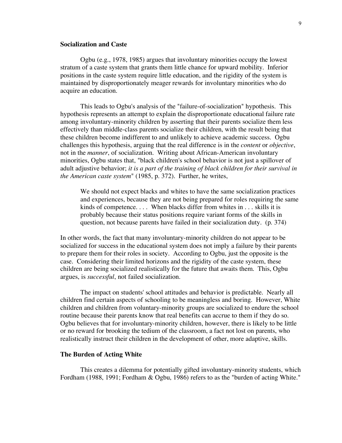## **Socialization and Caste**

Ogbu (e.g., 1978, 1985) argues that involuntary minorities occupy the lowest stratum of a caste system that grants them little chance for upward mobility. Inferior positions in the caste system require little education, and the rigidity of the system is maintained by disproportionately meager rewards for involuntary minorities who do acquire an education.

This leads to Ogbu's analysis of the "failure-of-socialization" hypothesis. This hypothesis represents an attempt to explain the disproportionate educational failure rate among involuntary-minority children by asserting that their parents socialize them less effectively than middle-class parents socialize their children, with the result being that these children become indifferent to and unlikely to achieve academic success. Ogbu challenges this hypothesis, arguing that the real difference is in the *content* or *objective*, not in the *manner*, of socialization. Writing about African-American involuntary minorities, Ogbu states that, "black children's school behavior is not just a spillover of adult adjustive behavior; *it is a part of the training of black children for their survival in the American caste system*" (1985, p. 372). Further, he writes,

We should not expect blacks and whites to have the same socialization practices and experiences, because they are not being prepared for roles requiring the same kinds of competence. . . . When blacks differ from whites in . . . skills it is probably because their status positions require variant forms of the skills in question, not because parents have failed in their socialization duty. (p. 374)

In other words, the fact that many involuntary-minority children do not appear to be socialized for success in the educational system does not imply a failure by their parents to prepare them for their roles in society. According to Ogbu, just the opposite is the case. Considering their limited horizons and the rigidity of the caste system, these children are being socialized realistically for the future that awaits them. This, Ogbu argues, is *successful*, not failed socialization.

The impact on students' school attitudes and behavior is predictable. Nearly all children find certain aspects of schooling to be meaningless and boring. However, White children and children from voluntary-minority groups are socialized to endure the school routine because their parents know that real benefits can accrue to them if they do so. Ogbu believes that for involuntary-minority children, however, there is likely to be little or no reward for brooking the tedium of the classroom, a fact not lost on parents, who realistically instruct their children in the development of other, more adaptive, skills.

#### **The Burden of Acting White**

This creates a dilemma for potentially gifted involuntary-minority students, which Fordham (1988, 1991; Fordham & Ogbu, 1986) refers to as the "burden of acting White."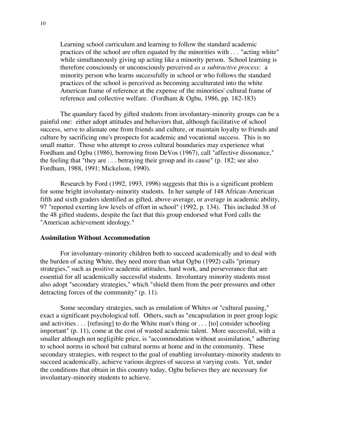Learning school curriculum and learning to follow the standard academic practices of the school are often equated by the minorities with . . . "acting white" while simultaneously giving up acting like a minority person. School learning is therefore consciously or unconsciously perceived *as a subtractive process:* a minority person who learns successfully in school or who follows the standard practices of the school is perceived as becoming acculturated into the white American frame of reference at the expense of the minorities' cultural frame of reference and collective welfare. (Fordham & Ogbu, 1986, pp. 182-183)

The quandary faced by gifted students from involuntary-minority groups can be a painful one: either adopt attitudes and behaviors that, although facilitative of school success, serve to alienate one from friends and culture, or maintain loyalty to friends and culture by sacrificing one's prospects for academic and vocational success. This is no small matter. Those who attempt to cross cultural boundaries may experience what Fordham and Ogbu (1986), borrowing from DeVos (1967), call "affective dissonance," the feeling that "they are  $\dots$  betraying their group and its cause" (p. 182; see also Fordham, 1988, 1991; Mickelson, 1990).

Research by Ford (1992, 1993, 1996) suggests that this is a significant problem for some bright involuntary-minority students. In her sample of 148 African-American fifth and sixth graders identified as gifted, above-average, or average in academic ability, 97 "reported exerting low levels of effort in school" (1992, p. 134). This included 38 of the 48 gifted students, despite the fact that this group endorsed what Ford calls the "American achievement ideology."

#### **Assimilation Without Accommodation**

For involuntary-minority children both to succeed academically and to deal with the burden of acting White, they need more than what Ogbu (1992) calls "primary strategies," such as positive academic attitudes, hard work, and perseverance that are essential for all academically successful students. Involuntary minority students must also adopt "secondary strategies," which "shield them from the peer pressures and other detracting forces of the community" (p. 11).

Some secondary strategies, such as emulation of Whites or "cultural passing," exact a significant psychological toll. Others, such as "encapsulation in peer group logic and activities . . . [refusing] to do the White man's thing or . . . [to] consider schooling important" (p. 11), come at the cost of wasted academic talent. More successful, with a smaller although not negligible price, is "accommodation without assimilation," adhering to school norms in school but cultural norms at home and in the community. These secondary strategies, with respect to the goal of enabling involuntary-minority students to succeed academically, achieve various degrees of success at varying costs. Yet, under the conditions that obtain in this country today, Ogbu believes they are necessary for involuntary-minority students to achieve.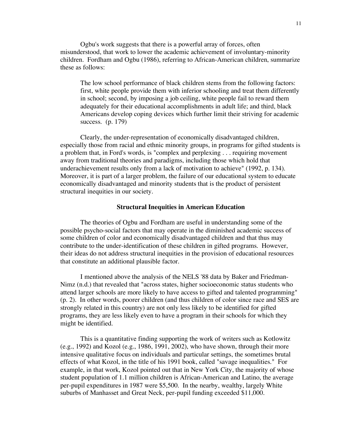Ogbu's work suggests that there is a powerful array of forces, often misunderstood, that work to lower the academic achievement of involuntary-minority children. Fordham and Ogbu (1986), referring to African-American children, summarize these as follows:

The low school performance of black children stems from the following factors: first, white people provide them with inferior schooling and treat them differently in school; second, by imposing a job ceiling, white people fail to reward them adequately for their educational accomplishments in adult life; and third, black Americans develop coping devices which further limit their striving for academic success. (p. 179)

Clearly, the under-representation of economically disadvantaged children, especially those from racial and ethnic minority groups, in programs for gifted students is a problem that, in Ford's words, is "complex and perplexing . . . requiring movement away from traditional theories and paradigms, including those which hold that underachievement results only from a lack of motivation to achieve" (1992, p. 134). Moreover, it is part of a larger problem, the failure of our educational system to educate economically disadvantaged and minority students that is the product of persistent structural inequities in our society.

## **Structural Inequities in American Education**

The theories of Ogbu and Fordham are useful in understanding some of the possible psycho-social factors that may operate in the diminished academic success of some children of color and economically disadvantaged children and that thus may contribute to the under-identification of these children in gifted programs. However, their ideas do not address structural inequities in the provision of educational resources that constitute an additional plausible factor.

I mentioned above the analysis of the NELS '88 data by Baker and Friedman-Nimz (n.d.) that revealed that "across states, higher socioeconomic status students who attend larger schools are more likely to have access to gifted and talented programming" (p. 2). In other words, poorer children (and thus children of color since race and SES are strongly related in this country) are not only less likely to be identified for gifted programs, they are less likely even to have a program in their schools for which they might be identified.

This is a quantitative finding supporting the work of writers such as Kotlowitz (e.g., 1992) and Kozol (e.g., 1986, 1991, 2002), who have shown, through their more intensive qualitative focus on individuals and particular settings, the sometimes brutal effects of what Kozol, in the title of his 1991 book, called "savage inequalities." For example, in that work, Kozol pointed out that in New York City, the majority of whose student population of 1.1 million children is African-American and Latino, the average per-pupil expenditures in 1987 were \$5,500. In the nearby, wealthy, largely White suburbs of Manhasset and Great Neck, per-pupil funding exceeded \$11,000.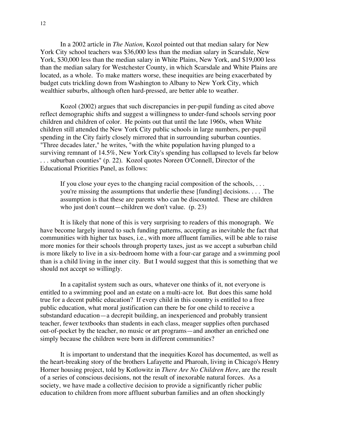In a 2002 article in *The Nation*, Kozol pointed out that median salary for New York City school teachers was \$36,000 less than the median salary in Scarsdale, New York, \$30,000 less than the median salary in White Plains, New York, and \$19,000 less than the median salary for Westchester County, in which Scarsdale and White Plains are located, as a whole. To make matters worse, these inequities are being exacerbated by budget cuts trickling down from Washington to Albany to New York City, which wealthier suburbs, although often hard-pressed, are better able to weather.

Kozol (2002) argues that such discrepancies in per-pupil funding as cited above reflect demographic shifts and suggest a willingness to under-fund schools serving poor children and children of color. He points out that until the late 1960s, when White children still attended the New York City public schools in large numbers, per-pupil spending in the City fairly closely mirrored that in surrounding suburban counties. "Three decades later," he writes, "with the white population having plunged to a surviving remnant of 14.5%, New York City's spending has collapsed to levels far below . . . suburban counties" (p. 22). Kozol quotes Noreen O'Connell, Director of the Educational Priorities Panel, as follows:

If you close your eyes to the changing racial composition of the schools, . . . you're missing the assumptions that underlie these [funding] decisions. . . . The assumption is that these are parents who can be discounted. These are children who just don't count—children we don't value. (p. 23)

It is likely that none of this is very surprising to readers of this monograph. We have become largely inured to such funding patterns, accepting as inevitable the fact that communities with higher tax bases, i.e., with more affluent families, will be able to raise more monies for their schools through property taxes, just as we accept a suburban child is more likely to live in a six-bedroom home with a four-car garage and a swimming pool than is a child living in the inner city. But I would suggest that this is something that we should not accept so willingly.

In a capitalist system such as ours, whatever one thinks of it, not everyone is entitled to a swimming pool and an estate on a multi-acre lot. But does this same hold true for a decent public education? If every child in this country is entitled to a free public education, what moral justification can there be for one child to receive a substandard education—a decrepit building, an inexperienced and probably transient teacher, fewer textbooks than students in each class, meager supplies often purchased out-of-pocket by the teacher, no music or art programs—and another an enriched one simply because the children were born in different communities?

It is important to understand that the inequities Kozol has documented, as well as the heart-breaking story of the brothers Lafayette and Pharoah, living in Chicago's Henry Horner housing project, told by Kotlowitz in *There Are No Children Here*, are the result of a series of conscious decisions, not the result of inexorable natural forces. As a society, we have made a collective decision to provide a significantly richer public education to children from more affluent suburban families and an often shockingly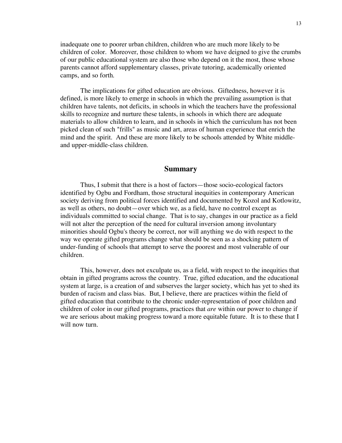inadequate one to poorer urban children, children who are much more likely to be children of color. Moreover, those children to whom we have deigned to give the crumbs of our public educational system are also those who depend on it the most, those whose parents cannot afford supplementary classes, private tutoring, academically oriented camps, and so forth.

The implications for gifted education are obvious. Giftedness, however it is defined, is more likely to emerge in schools in which the prevailing assumption is that children have talents, not deficits, in schools in which the teachers have the professional skills to recognize and nurture these talents, in schools in which there are adequate materials to allow children to learn, and in schools in which the curriculum has not been picked clean of such "frills" as music and art, areas of human experience that enrich the mind and the spirit. And these are more likely to be schools attended by White middleand upper-middle-class children.

## **Summary**

Thus, I submit that there is a host of factors—those socio-ecological factors identified by Ogbu and Fordham, those structural inequities in contemporary American society deriving from political forces identified and documented by Kozol and Kotlowitz, as well as others, no doubt—over which we, as a field, have no control except as individuals committed to social change. That is to say, changes in our practice as a field will not alter the perception of the need for cultural inversion among involuntary minorities should Ogbu's theory be correct, nor will anything we do with respect to the way we operate gifted programs change what should be seen as a shocking pattern of under-funding of schools that attempt to serve the poorest and most vulnerable of our children.

This, however, does not exculpate us, as a field, with respect to the inequities that obtain in gifted programs across the country. True, gifted education, and the educational system at large, is a creation of and subserves the larger society, which has yet to shed its burden of racism and class bias. But, I believe, there are practices within the field of gifted education that contribute to the chronic under-representation of poor children and children of color in our gifted programs, practices that *are* within our power to change if we are serious about making progress toward a more equitable future. It is to these that I will now turn.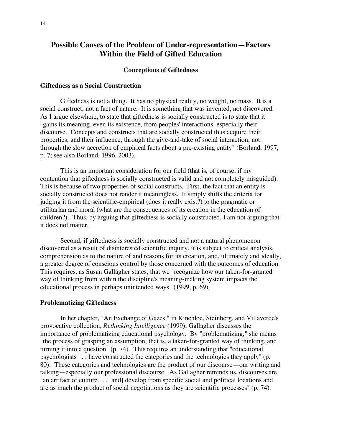## **Possible Causes of the Problem of Under-representation—Factors Within the Field of Gifted Education**

## **Conceptions of Giftedness**

#### **Giftedness as a Social Construction**

Giftedness is not a thing. It has no physical reality, no weight, no mass. It is a social construct, not a fact of nature. It is something that was invented, not discovered. As I argue elsewhere, to state that giftedness is socially constructed is to state that it "gains its meaning, even its existence, from peoples' interactions, especially their discourse. Concepts and constructs that are socially constructed thus acquire their properties, and their influence, through the give-and-take of social interaction, not through the slow accretion of empirical facts about a pre-existing entity" (Borland, 1997, p. 7; see also Borland, 1996, 2003).

This is an important consideration for our field (that is, of course, if my contention that giftedness is socially constructed is valid and not completely misguided). This is because of two properties of social constructs. First, the fact that an entity is socially constructed does not render it meaningless. It simply shifts the criteria for judging it from the scientific-empirical (does it really exist?) to the pragmatic or utilitarian and moral (what are the consequences of its creation in the education of children?). Thus, by arguing that giftedness is socially constructed, I am not arguing that it does not matter.

Second, if giftedness is socially constructed and not a natural phenomenon discovered as a result of disinterested scientific inquiry, it is subject to critical analysis, comprehension as to the nature of and reasons for its creation, and, ultimately and ideally, a greater degree of conscious control by those concerned with the outcomes of education. This requires, as Susan Gallagher states, that we "recognize how our taken-for-granted way of thinking from within the discipline's meaning-making system impacts the educational process in perhaps unintended ways" (1999, p. 69).

#### **Problematizing Giftedness**

In her chapter, "An Exchange of Gazes," in Kinchloe, Steinberg, and Villaverde's provocative collection, *Rethinking Intelligence* (1999), Gallagher discusses the importance of problematizing educational psychology. By "problematizing," she means "the process of grasping an assumption, that is, a taken-for-granted way of thinking, and turning it into a question" (p. 74). This requires an understanding that "educational psychologists . . . have constructed the categories and the technologies they apply" (p. 80). These categories and technologies are the product of our discourse—our writing and talking—especially our professional discourse. As Gallagher reminds us, discourses are "an artifact of culture . . . [and] develop from specific social and political locations and are as much the product of social negotiations as they are scientific processes" (p. 74).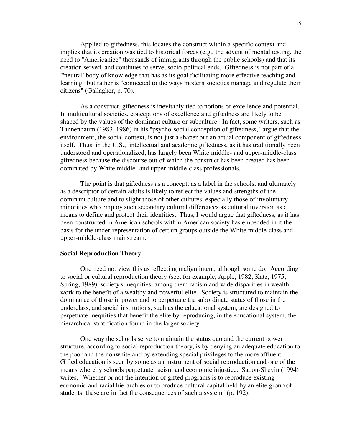Applied to giftedness, this locates the construct within a specific context and implies that its creation was tied to historical forces (e.g., the advent of mental testing, the need to "Americanize" thousands of immigrants through the public schools) and that its creation served, and continues to serve, socio-political ends. Giftedness is not part of a "'neutral' body of knowledge that has as its goal facilitating more effective teaching and learning" but rather is "connected to the ways modern societies manage and regulate their citizens" (Gallagher, p. 70).

As a construct, giftedness is inevitably tied to notions of excellence and potential. In multicultural societies, conceptions of excellence and giftedness are likely to be shaped by the values of the dominant culture or subculture. In fact, some writers, such as Tannenbaum (1983, 1986) in his "psycho-social conception of giftedness," argue that the environment, the social context, is not just a shaper but an actual component of giftedness itself. Thus, in the U.S., intellectual and academic giftedness, as it has traditionally been understood and operationalized, has largely been White middle- and upper-middle-class giftedness because the discourse out of which the construct has been created has been dominated by White middle- and upper-middle-class professionals.

The point is that giftedness as a concept, as a label in the schools, and ultimately as a descriptor of certain adults is likely to reflect the values and strengths of the dominant culture and to slight those of other cultures, especially those of involuntary minorities who employ such secondary cultural differences as cultural inversion as a means to define and protect their identities. Thus, I would argue that giftedness, as it has been constructed in American schools within American society has embedded in it the basis for the under-representation of certain groups outside the White middle-class and upper-middle-class mainstream.

#### **Social Reproduction Theory**

One need not view this as reflecting malign intent, although some do. According to social or cultural reproduction theory (see, for example, Apple, 1982; Katz, 1975; Spring, 1989), society's inequities, among them racism and wide disparities in wealth, work to the benefit of a wealthy and powerful elite. Society is structured to maintain the dominance of those in power and to perpetuate the subordinate status of those in the underclass, and social institutions, such as the educational system, are designed to perpetuate inequities that benefit the elite by reproducing, in the educational system, the hierarchical stratification found in the larger society.

One way the schools serve to maintain the status quo and the current power structure, according to social reproduction theory, is by denying an adequate education to the poor and the nonwhite and by extending special privileges to the more affluent. Gifted education is seen by some as an instrument of social reproduction and one of the means whereby schools perpetuate racism and economic injustice. Sapon-Shevin (1994) writes, "Whether or not the intention of gifted programs is to reproduce existing economic and racial hierarchies or to produce cultural capital held by an elite group of students, these are in fact the consequences of such a system" (p. 192).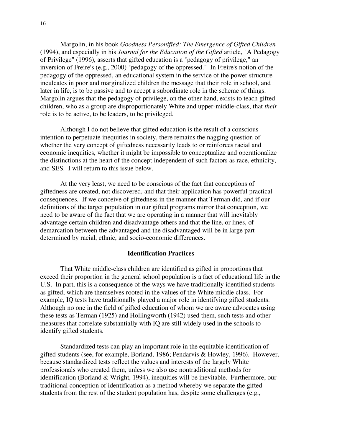Margolin, in his book *Goodness Personified: The Emergence of Gifted Children* (1994), and especially in his *Journal for the Education of the Gifted* article, "A Pedagogy of Privilege" (1996), asserts that gifted education is a "pedagogy of privilege," an inversion of Freire's (e.g., 2000) "pedagogy of the oppressed." In Freire's notion of the pedagogy of the oppressed, an educational system in the service of the power structure inculcates in poor and marginalized children the message that their role in school, and later in life, is to be passive and to accept a subordinate role in the scheme of things. Margolin argues that the pedagogy of privilege, on the other hand, exists to teach gifted children, who as a group are disproportionately White and upper-middle-class, that *their* role is to be active, to be leaders, to be privileged.

Although I do not believe that gifted education is the result of a conscious intention to perpetuate inequities in society, there remains the nagging question of whether the very concept of giftedness necessarily leads to or reinforces racial and economic inequities, whether it might be impossible to conceptualize and operationalize the distinctions at the heart of the concept independent of such factors as race, ethnicity, and SES. I will return to this issue below.

At the very least, we need to be conscious of the fact that conceptions of giftedness are created, not discovered, and that their application has powerful practical consequences. If we conceive of giftedness in the manner that Terman did, and if our definitions of the target population in our gifted programs mirror that conception, we need to be aware of the fact that we are operating in a manner that will inevitably advantage certain children and disadvantage others and that the line, or lines, of demarcation between the advantaged and the disadvantaged will be in large part determined by racial, ethnic, and socio-economic differences.

## **Identification Practices**

That White middle-class children are identified as gifted in proportions that exceed their proportion in the general school population is a fact of educational life in the U.S. In part, this is a consequence of the ways we have traditionally identified students as gifted, which are themselves rooted in the values of the White middle class. For example, IQ tests have traditionally played a major role in identifying gifted students. Although no one in the field of gifted education of whom we are aware advocates using these tests as Terman (1925) and Hollingworth (1942) used them, such tests and other measures that correlate substantially with IQ are still widely used in the schools to identify gifted students.

Standardized tests can play an important role in the equitable identification of gifted students (see, for example, Borland, 1986; Pendarvis & Howley, 1996). However, because standardized tests reflect the values and interests of the largely White professionals who created them, unless we also use nontraditional methods for identification (Borland & Wright, 1994), inequities will be inevitable. Furthermore, our traditional conception of identification as a method whereby we separate the gifted students from the rest of the student population has, despite some challenges (e.g.,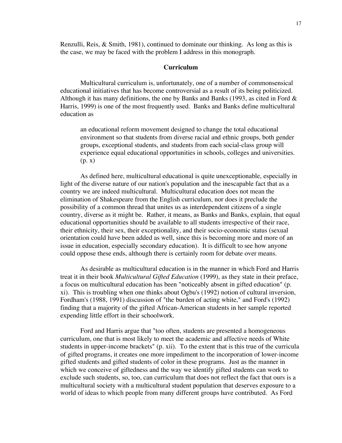Renzulli, Reis, & Smith, 1981), continued to dominate our thinking. As long as this is the case, we may be faced with the problem I address in this monograph.

## **Curriculum**

Multicultural curriculum is, unfortunately, one of a number of commonsensical educational initiatives that has become controversial as a result of its being politicized. Although it has many definitions, the one by Banks and Banks (1993, as cited in Ford  $\&$ Harris, 1999) is one of the most frequently used. Banks and Banks define multicultural education as

an educational reform movement designed to change the total educational environment so that students from diverse racial and ethnic groups, both gender groups, exceptional students, and students from each social-class group will experience equal educational opportunities in schools, colleges and universities. (p. x)

As defined here, multicultural educational is quite unexceptionable, especially in light of the diverse nature of our nation's population and the inescapable fact that as a country we are indeed multicultural. Multicultural education does not mean the elimination of Shakespeare from the English curriculum, nor does it preclude the possibility of a common thread that unites us as interdependent citizens of a single country, diverse as it might be. Rather, it means, as Banks and Banks, explain, that equal educational opportunities should be available to all students irrespective of their race, their ethnicity, their sex, their exceptionality, and their socio-economic status (sexual orientation could have been added as well, since this is becoming more and more of an issue in education, especially secondary education). It is difficult to see how anyone could oppose these ends, although there is certainly room for debate over means.

As desirable as multicultural education is in the manner in which Ford and Harris treat it in their book *Multicultural Gifted Education* (1999), as they state in their preface, a focus on multicultural education has been "noticeably absent in gifted education" (p. xi). This is troubling when one thinks about Ogbu's (1992) notion of cultural inversion, Fordham's (1988, 1991) discussion of "the burden of acting white," and Ford's (1992) finding that a majority of the gifted African-American students in her sample reported expending little effort in their schoolwork.

Ford and Harris argue that "too often, students are presented a homogeneous curriculum, one that is most likely to meet the academic and affective needs of White students in upper-income brackets" (p. xii). To the extent that is this true of the curricula of gifted programs, it creates one more impediment to the incorporation of lower-income gifted students and gifted students of color in these programs. Just as the manner in which we conceive of giftedness and the way we identify gifted students can work to exclude such students, so, too, can curriculum that does not reflect the fact that ours is a multicultural society with a multicultural student population that deserves exposure to a world of ideas to which people from many different groups have contributed. As Ford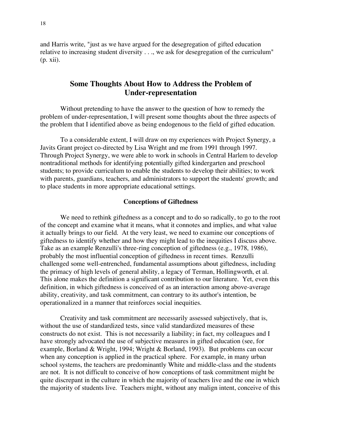and Harris write, "just as we have argued for the desegregation of gifted education relative to increasing student diversity . . ., we ask for desegregation of the curriculum" (p. xii).

## **Some Thoughts About How to Address the Problem of Under-representation**

Without pretending to have the answer to the question of how to remedy the problem of under-representation, I will present some thoughts about the three aspects of the problem that I identified above as being endogenous to the field of gifted education.

To a considerable extent, I will draw on my experiences with Project Synergy, a Javits Grant project co-directed by Lisa Wright and me from 1991 through 1997. Through Project Synergy, we were able to work in schools in Central Harlem to develop nontraditional methods for identifying potentially gifted kindergarten and preschool students; to provide curriculum to enable the students to develop their abilities; to work with parents, guardians, teachers, and administrators to support the students' growth; and to place students in more appropriate educational settings.

#### **Conceptions of Giftedness**

We need to rethink giftedness as a concept and to do so radically, to go to the root of the concept and examine what it means, what it connotes and implies, and what value it actually brings to our field. At the very least, we need to examine our conceptions of giftedness to identify whether and how they might lead to the inequities I discuss above. Take as an example Renzulli's three-ring conception of giftedness (e.g., 1978, 1986), probably the most influential conception of giftedness in recent times. Renzulli challenged some well-entrenched, fundamental assumptions about giftedness, including the primacy of high levels of general ability, a legacy of Terman, Hollingworth, et al. This alone makes the definition a significant contribution to our literature. Yet, even this definition, in which giftedness is conceived of as an interaction among above-average ability, creativity, and task commitment, can contrary to its author's intention, be operationalized in a manner that reinforces social inequities.

Creativity and task commitment are necessarily assessed subjectively, that is, without the use of standardized tests, since valid standardized measures of these constructs do not exist. This is not necessarily a liability; in fact, my colleagues and I have strongly advocated the use of subjective measures in gifted education (see, for example, Borland & Wright, 1994; Wright & Borland, 1993). But problems can occur when any conception is applied in the practical sphere. For example, in many urban school systems, the teachers are predominantly White and middle-class and the students are not. It is not difficult to conceive of how conceptions of task commitment might be quite discrepant in the culture in which the majority of teachers live and the one in which the majority of students live. Teachers might, without any malign intent, conceive of this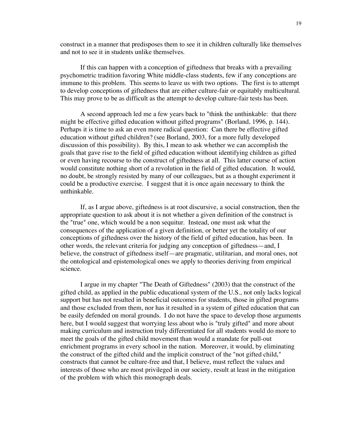construct in a manner that predisposes them to see it in children culturally like themselves and not to see it in students unlike themselves.

If this can happen with a conception of giftedness that breaks with a prevailing psychometric tradition favoring White middle-class students, few if any conceptions are immune to this problem. This seems to leave us with two options. The first is to attempt to develop conceptions of giftedness that are either culture-fair or equitably multicultural. This may prove to be as difficult as the attempt to develop culture-fair tests has been.

A second approach led me a few years back to "think the unthinkable: that there might be effective gifted education without gifted programs" (Borland, 1996, p. 144). Perhaps it is time to ask an even more radical question: Can there be effective gifted education without gifted children? (see Borland, 2003, for a more fully developed discussion of this possibility). By this, I mean to ask whether we can accomplish the goals that gave rise to the field of gifted education without identifying children as gifted or even having recourse to the construct of giftedness at all. This latter course of action would constitute nothing short of a revolution in the field of gifted education. It would, no doubt, be strongly resisted by many of our colleagues, but as a thought experiment it could be a productive exercise. I suggest that it is once again necessary to think the unthinkable.

If, as I argue above, giftedness is at root discursive, a social construction, then the appropriate question to ask about it is not whether a given definition of the construct is the "true" one, which would be a non sequitur. Instead, one must ask what the consequences of the application of a given definition, or better yet the totality of our conceptions of giftedness over the history of the field of gifted education, has been. In other words, the relevant criteria for judging any conception of giftedness—and, I believe, the construct of giftedness itself—are pragmatic, utilitarian, and moral ones, not the ontological and epistemological ones we apply to theories deriving from empirical science.

I argue in my chapter "The Death of Giftedness" (2003) that the construct of the gifted child, as applied in the public educational system of the U.S., not only lacks logical support but has not resulted in beneficial outcomes for students, those in gifted programs and those excluded from them, nor has it resulted in a system of gifted education that can be easily defended on moral grounds. I do not have the space to develop those arguments here, but I would suggest that worrying less about who is "truly gifted" and more about making curriculum and instruction truly differentiated for all students would do more to meet the goals of the gifted child movement than would a mandate for pull-out enrichment programs in every school in the nation. Moreover, it would, by eliminating the construct of the gifted child and the implicit construct of the "not gifted child," constructs that cannot be culture-free and that, I believe, must reflect the values and interests of those who are most privileged in our society, result at least in the mitigation of the problem with which this monograph deals.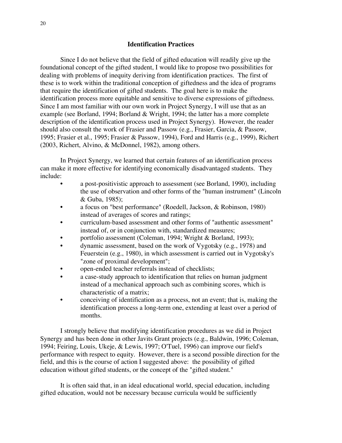Since I do not believe that the field of gifted education will readily give up the foundational concept of the gifted student, I would like to propose two possibilities for dealing with problems of inequity deriving from identification practices. The first of these is to work within the traditional conception of giftedness and the idea of programs that require the identification of gifted students. The goal here is to make the identification process more equitable and sensitive to diverse expressions of giftedness. Since I am most familiar with our own work in Project Synergy, I will use that as an example (see Borland, 1994; Borland & Wright, 1994; the latter has a more complete description of the identification process used in Project Synergy). However, the reader should also consult the work of Frasier and Passow (e.g., Frasier, Garcia, & Passow, 1995; Frasier et al., 1995; Frasier & Passow, 1994), Ford and Harris (e.g., 1999), Richert (2003, Richert, Alvino, & McDonnel, 1982), among others.

In Project Synergy, we learned that certain features of an identification process can make it more effective for identifying economically disadvantaged students. They include:

- a post-positivistic approach to assessment (see Borland, 1990), including the use of observation and other forms of the "human instrument" (Lincoln & Guba, 1985);
- a focus on "best performance" (Roedell, Jackson, & Robinson, 1980) instead of averages of scores and ratings;
- curriculum-based assessment and other forms of "authentic assessment" instead of, or in conjunction with, standardized measures;
- portfolio assessment (Coleman, 1994; Wright & Borland, 1993);
- dynamic assessment, based on the work of Vygotsky (e.g., 1978) and Feuerstein (e.g., 1980), in which assessment is carried out in Vygotsky's "zone of proximal development";
- open-ended teacher referrals instead of checklists;
- a case-study approach to identification that relies on human judgment instead of a mechanical approach such as combining scores, which is characteristic of a matrix;
- conceiving of identification as a process, not an event; that is, making the identification process a long-term one, extending at least over a period of months.

I strongly believe that modifying identification procedures as we did in Project Synergy and has been done in other Javits Grant projects (e.g., Baldwin, 1996; Coleman, 1994; Feiring, Louis, Ukeje, & Lewis, 1997; O'Tuel, 1996) can improve our field's performance with respect to equity. However, there is a second possible direction for the field, and this is the course of action I suggested above: the possibility of gifted education without gifted students, or the concept of the "gifted student."

It is often said that, in an ideal educational world, special education, including gifted education, would not be necessary because curricula would be sufficiently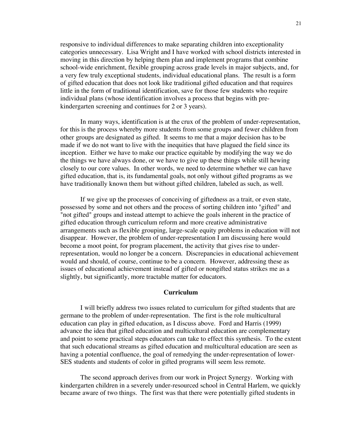responsive to individual differences to make separating children into exceptionality categories unnecessary. Lisa Wright and I have worked with school districts interested in moving in this direction by helping them plan and implement programs that combine school-wide enrichment, flexible grouping across grade levels in major subjects, and, for a very few truly exceptional students, individual educational plans. The result is a form of gifted education that does not look like traditional gifted education and that requires little in the form of traditional identification, save for those few students who require individual plans (whose identification involves a process that begins with prekindergarten screening and continues for 2 or 3 years).

In many ways, identification is at the crux of the problem of under-representation, for this is the process whereby more students from some groups and fewer children from other groups are designated as gifted. It seems to me that a major decision has to be made if we do not want to live with the inequities that have plagued the field since its inception. Either we have to make our practice equitable by modifying the way we do the things we have always done, or we have to give up these things while still hewing closely to our core values. In other words, we need to determine whether we can have gifted education, that is, its fundamental goals, not only without gifted programs as we have traditionally known them but without gifted children, labeled as such, as well.

If we give up the processes of conceiving of giftedness as a trait, or even state, possessed by some and not others and the process of sorting children into "gifted" and "not gifted" groups and instead attempt to achieve the goals inherent in the practice of gifted education through curriculum reform and more creative administrative arrangements such as flexible grouping, large-scale equity problems in education will not disappear. However, the problem of under-representation I am discussing here would become a moot point, for program placement, the activity that gives rise to underrepresentation, would no longer be a concern. Discrepancies in educational achievement would and should, of course, continue to be a concern. However, addressing these as issues of educational achievement instead of gifted or nongifted status strikes me as a slightly, but significantly, more tractable matter for educators.

## **Curriculum**

I will briefly address two issues related to curriculum for gifted students that are germane to the problem of under-representation. The first is the role multicultural education can play in gifted education, as I discuss above. Ford and Harris (1999) advance the idea that gifted education and multicultural education are complementary and point to some practical steps educators can take to effect this synthesis. To the extent that such educational streams as gifted education and multicultural education are seen as having a potential confluence, the goal of remedying the under-representation of lower-SES students and students of color in gifted programs will seem less remote.

The second approach derives from our work in Project Synergy. Working with kindergarten children in a severely under-resourced school in Central Harlem, we quickly became aware of two things. The first was that there were potentially gifted students in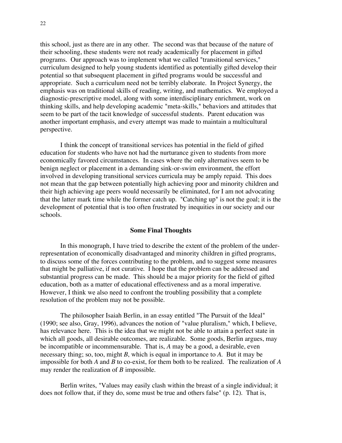this school, just as there are in any other. The second was that because of the nature of their schooling, these students were not ready academically for placement in gifted programs. Our approach was to implement what we called "transitional services," curriculum designed to help young students identified as potentially gifted develop their potential so that subsequent placement in gifted programs would be successful and appropriate. Such a curriculum need not be terribly elaborate. In Project Synergy, the emphasis was on traditional skills of reading, writing, and mathematics. We employed a diagnostic-prescriptive model, along with some interdisciplinary enrichment, work on thinking skills, and help developing academic "meta-skills," behaviors and attitudes that seem to be part of the tacit knowledge of successful students. Parent education was another important emphasis, and every attempt was made to maintain a multicultural perspective.

I think the concept of transitional services has potential in the field of gifted education for students who have not had the nurturance given to students from more economically favored circumstances. In cases where the only alternatives seem to be benign neglect or placement in a demanding sink-or-swim environment, the effort involved in developing transitional services curricula may be amply repaid. This does not mean that the gap between potentially high achieving poor and minority children and their high achieving age peers would necessarily be eliminated, for I am not advocating that the latter mark time while the former catch up. "Catching up" is not the goal; it is the development of potential that is too often frustrated by inequities in our society and our schools.

## **Some Final Thoughts**

In this monograph, I have tried to describe the extent of the problem of the underrepresentation of economically disadvantaged and minority children in gifted programs, to discuss some of the forces contributing to the problem, and to suggest some measures that might be palliative, if not curative. I hope that the problem can be addressed and substantial progress can be made. This should be a major priority for the field of gifted education, both as a matter of educational effectiveness and as a moral imperative. However, I think we also need to confront the troubling possibility that a complete resolution of the problem may not be possible.

The philosopher Isaiah Berlin, in an essay entitled "The Pursuit of the Ideal" (1990; see also, Gray, 1996), advances the notion of "value pluralism," which, I believe, has relevance here. This is the idea that we might not be able to attain a perfect state in which all goods, all desirable outcomes, are realizable. Some goods, Berlin argues, may be incompatible or incommensurable. That is, *A* may be a good, a desirable, even necessary thing; so, too, might *B*, which is equal in importance to *A*. But it may be impossible for both *A* and *B* to co-exist, for them both to be realized. The realization of *A* may render the realization of *B* impossible.

Berlin writes, "Values may easily clash within the breast of a single individual; it does not follow that, if they do, some must be true and others false" (p. 12). That is,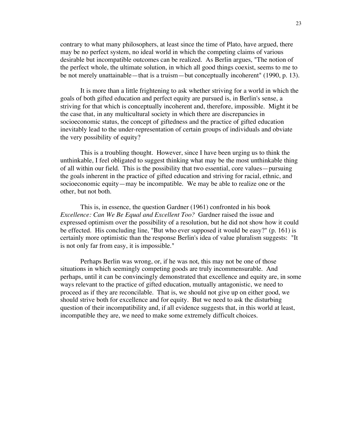contrary to what many philosophers, at least since the time of Plato, have argued, there may be no perfect system, no ideal world in which the competing claims of various desirable but incompatible outcomes can be realized. As Berlin argues, "The notion of the perfect whole, the ultimate solution, in which all good things coexist, seems to me to be not merely unattainable—that is a truism—but conceptually incoherent" (1990, p. 13).

It is more than a little frightening to ask whether striving for a world in which the goals of both gifted education and perfect equity are pursued is, in Berlin's sense, a striving for that which is conceptually incoherent and, therefore, impossible. Might it be the case that, in any multicultural society in which there are discrepancies in socioeconomic status, the concept of giftedness and the practice of gifted education inevitably lead to the under-representation of certain groups of individuals and obviate the very possibility of equity?

This is a troubling thought. However, since I have been urging us to think the unthinkable, I feel obligated to suggest thinking what may be the most unthinkable thing of all within our field. This is the possibility that two essential, core values—pursuing the goals inherent in the practice of gifted education and striving for racial, ethnic, and socioeconomic equity—may be incompatible. We may be able to realize one or the other, but not both.

This is, in essence, the question Gardner (1961) confronted in his book *Excellence: Can We Be Equal and Excellent Too?* Gardner raised the issue and expressed optimism over the possibility of a resolution, but he did not show how it could be effected. His concluding line, "But who ever supposed it would be easy?" (p. 161) is certainly more optimistic than the response Berlin's idea of value pluralism suggests: "It is not only far from easy, it is impossible."

Perhaps Berlin was wrong, or, if he was not, this may not be one of those situations in which seemingly competing goods are truly incommensurable. And perhaps, until it can be convincingly demonstrated that excellence and equity are, in some ways relevant to the practice of gifted education, mutually antagonistic, we need to proceed as if they are reconcilable. That is, we should not give up on either good, we should strive both for excellence and for equity. But we need to ask the disturbing question of their incompatibility and, if all evidence suggests that, in this world at least, incompatible they are, we need to make some extremely difficult choices.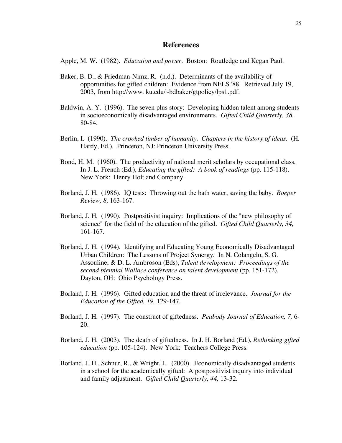## **References**

Apple, M. W. (1982). *Education and power.* Boston: Routledge and Kegan Paul.

- Baker, B. D., & Friedman-Nimz, R. (n.d.). Determinants of the availability of opportunities for gifted children: Evidence from NELS '88. Retrieved July 19, 2003, from http://www. ku.edu/~bdbaker/gtpolicy/lps1.pdf.
- Baldwin, A. Y. (1996). The seven plus story: Developing hidden talent among students in socioeconomically disadvantaged environments. *Gifted Child Quarterly, 38,* 80-84.
- Berlin, I. (1990). *The crooked timber of humanity. Chapters in the history of ideas.* (H. Hardy, Ed.). Princeton, NJ: Princeton University Press.
- Bond, H. M. (1960). The productivity of national merit scholars by occupational class. In J. L. French (Ed.), *Educating the gifted: A book of readings* (pp. 115-118). New York: Henry Holt and Company.
- Borland, J. H. (1986). IQ tests: Throwing out the bath water, saving the baby. *Roeper Review, 8,* 163-167.
- Borland, J. H. (1990). Postpositivist inquiry: Implications of the "new philosophy of science" for the field of the education of the gifted. *Gifted Child Quarterly, 34,* 161-167.
- Borland, J. H. (1994). Identifying and Educating Young Economically Disadvantaged Urban Children: The Lessons of Project Synergy. In N. Colangelo, S. G. Assouline, & D. L. Ambroson (Eds), *Talent development: Proceedings of the second biennial Wallace conference on talent development* (pp. 151-172). Dayton, OH: Ohio Psychology Press.
- Borland, J. H. (1996). Gifted education and the threat of irrelevance. *Journal for the Education of the Gifted, 19,* 129-147*.*
- Borland, J. H. (1997). The construct of giftedness. *Peabody Journal of Education, 7,* 6- 20.
- Borland, J. H. (2003). The death of giftedness. In J. H. Borland (Ed.), *Rethinking gifted education* (pp. 105-124). New York: Teachers College Press.
- Borland, J. H., Schnur, R., & Wright, L. (2000). Economically disadvantaged students in a school for the academically gifted: A postpositivist inquiry into individual and family adjustment. *Gifted Child Quarterly, 44,* 13-32.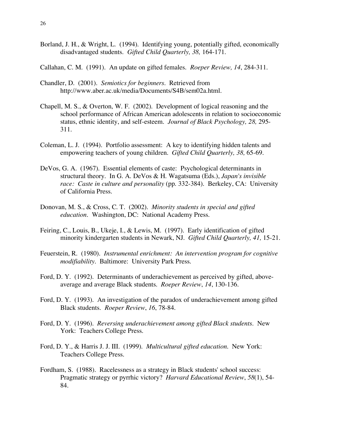- Borland, J. H., & Wright, L. (1994). Identifying young, potentially gifted, economically disadvantaged students. *Gifted Child Quarterly, 38,* 164-171.
- Callahan, C. M. (1991). An update on gifted females. *Roeper Review, 14*, 284-311.
- Chandler, D. (2001). *Semiotics for beginners.* Retrieved from http://www.aber.ac.uk/media/Documents/S4B/sem02a.html.
- Chapell, M. S., & Overton, W. F. (2002). Development of logical reasoning and the school performance of African American adolescents in relation to socioeconomic status, ethnic identity, and self-esteem. *Journal of Black Psychology, 28,* 295- 311.
- Coleman, L. J. (1994). Portfolio assessment: A key to identifying hidden talents and empowering teachers of young children. *Gifted Child Quarterly, 38,* 65-69.
- DeVos, G. A. (1967). Essential elements of caste: Psychological determinants in structural theory. In G. A. DeVos & H. Wagatsuma (Eds.), *Japan's invisible race: Caste in culture and personality* (pp. 332-384). Berkeley, CA: University of California Press.
- Donovan, M. S., & Cross, C. T. (2002). *Minority students in special and gifted education.* Washington, DC: National Academy Press.
- Feiring, C., Louis, B., Ukeje, I., & Lewis, M. (1997). Early identification of gifted minority kindergarten students in Newark, NJ. *Gifted Child Quarterly, 41,* 15-21.
- Feuerstein, R. (1980). *Instrumental enrichment: An intervention program for cognitive modifiability.* Baltimore: University Park Press.
- Ford, D. Y. (1992). Determinants of underachievement as perceived by gifted, aboveaverage and average Black students. *Roeper Review*, *14*, 130-136.
- Ford, D. Y. (1993). An investigation of the paradox of underachievement among gifted Black students. *Roeper Review*, *16*, 78-84.
- Ford, D. Y. (1996). *Reversing underachievement among gifted Black students.* New York: Teachers College Press.
- Ford, D. Y., & Harris J. J. III. (1999). *Multicultural gifted education.* New York: Teachers College Press.
- Fordham, S. (1988). Racelessness as a strategy in Black students' school success: Pragmatic strategy or pyrrhic victory? *Harvard Educational Review*, *58*(1), 54- 84.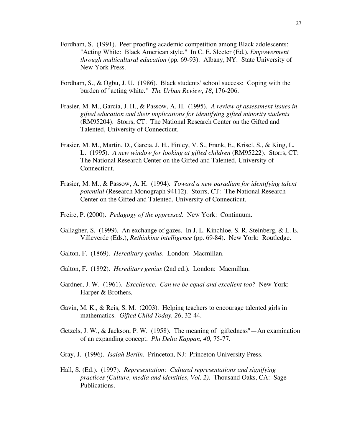- Fordham, S. (1991). Peer proofing academic competition among Black adolescents: "Acting White: Black American style." In C. E. Sleeter (Ed.), *Empowerment through multicultural education* (pp. 69-93). Albany, NY: State University of New York Press.
- Fordham, S., & Ogbu, J. U. (1986). Black students' school success: Coping with the burden of "acting white." *The Urban Review*, *18*, 176-206.
- Frasier, M. M., Garcia, J. H., & Passow, A. H. (1995). *A review of assessment issues in gifted education and their implications for identifying gifted minority students* (RM95204). Storrs, CT: The National Research Center on the Gifted and Talented, University of Connecticut.
- Frasier, M. M., Martin, D., Garcia, J. H., Finley, V. S., Frank, E., Krisel, S., & King, L. L. (1995). *A new window for looking at gifted children* (RM95222). Storrs, CT: The National Research Center on the Gifted and Talented, University of Connecticut.
- Frasier, M. M., & Passow, A. H. (1994). *Toward a new paradigm for identifying talent potential* (Research Monograph 94112). Storrs, CT: The National Research Center on the Gifted and Talented, University of Connecticut.
- Freire, P. (2000). *Pedagogy of the oppressed.* New York: Continuum.
- Gallagher, S. (1999). An exchange of gazes. In J. L. Kinchloe, S. R. Steinberg, & L. E. Villeverde (Eds.), *Rethinking intelligence* (pp. 69-84). New York: Routledge.
- Galton, F. (1869). *Hereditary genius.* London: Macmillan.
- Galton, F. (1892). *Hereditary genius* (2nd ed.)*.* London: Macmillan.
- Gardner, J. W. (1961). *Excellence. Can we be equal and excellent too?* New York: Harper & Brothers.
- Gavin, M. K., & Reis, S. M. (2003). Helping teachers to encourage talented girls in mathematics. *Gifted Child Today, 26*, 32-44.
- Getzels, J. W., & Jackson, P. W. (1958). The meaning of "giftedness"—An examination of an expanding concept. *Phi Delta Kappan, 40,* 75-77.
- Gray, J. (1996). *Isaiah Berlin*. Princeton, NJ: Princeton University Press.
- Hall, S. (Ed.). (1997). *Representation: Cultural representations and signifying practices (Culture, media and identities, Vol. 2).* Thousand Oaks, CA: Sage Publications.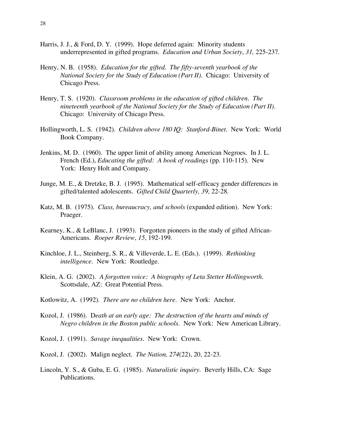- Harris, J. J., & Ford, D. Y. (1999). Hope deferred again: Minority students underrepresented in gifted programs. *Education and Urban Society*, *31,* 225-237.
- Henry, N. B. (1958). *Education for the gifted. The fifty-seventh yearbook of the National Society for the Study of Education (Part II).* Chicago: University of Chicago Press.
- Henry, T. S. (1920). *Classroom problems in the education of gifted children. The nineteenth yearbook of the National Society for the Study of Education (Part II).* Chicago: University of Chicago Press.
- Hollingworth, L. S. (1942). *Children above 180 IQ: Stanford-Binet.* New York: World Book Company.
- Jenkins, M. D. (1960). The upper limit of ability among American Negroes. In J. L. French (Ed.), *Educating the gifted: A book of readings* (pp. 110-115). New York: Henry Holt and Company.
- Junge, M. E., & Dretzke, B. J. (1995). Mathematical self-efficacy gender differences in gifted/talented adolescents. *Gifted Child Quarterly, 39,* 22-28.
- Katz, M. B. (1975). *Class, bureaucracy, and schools* (expanded edition). New York: Praeger.
- Kearney, K., & LeBlanc, J. (1993). Forgotten pioneers in the study of gifted African-Americans. *Roeper Review*, *15*, 192-199.
- Kinchloe, J. L., Steinberg, S. R., & Villeverde, L. E. (Eds.). (1999). *Rethinking intelligence*. New York: Routledge.
- Klein, A. G. (2002). *A forgotten voice: A biography of Leta Stetter Hollingworth.* Scottsdale, AZ: Great Potential Press.
- Kotlowitz, A. (1992). *There are no children here*. New York: Anchor.
- Kozol, J. (1986). D*eath at an early age: The destruction of the hearts and minds of Negro children in the Boston public schools.* New York: New American Library.
- Kozol, J. (1991). *Savage inequalities*. New York: Crown.
- Kozol, J. (2002). Malign neglect. *The Nation, 274*(22), 20, 22-23.
- Lincoln, Y. S., & Guba, E. G. (1985). *Naturalistic inquiry.* Beverly Hills, CA: Sage Publications.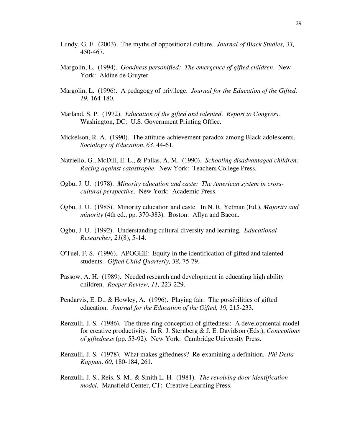- Lundy, G. F. (2003). The myths of oppositional culture. *Journal of Black Studies, 33,* 450-467.
- Margolin, L. (1994). *Goodness personified: The emergence of gifted children*. New York: Aldine de Gruyter.
- Margolin, L. (1996). A pedagogy of privilege. *Journal for the Education of the Gifted, 19,* 164-180.
- Marland, S. P. (1972). *Education of the gifted and talented. Report to Congress.* Washington, DC: U.S. Government Printing Office.
- Mickelson, R. A. (1990). The attitude-achievement paradox among Black adolescents. *Sociology of Education*, *63*, 44-61.
- Natriello, G., McDill, E. L., & Pallas, A. M. (1990). *Schooling disadvantaged children: Racing against catastrophe*. New York: Teachers College Press.
- Ogbu, J. U. (1978). *Minority education and caste: The American system in crosscultural perspective*. New York: Academic Press.
- Ogbu, J. U. (1985). Minority education and caste. In N. R. Yetman (Ed.), *Majority and minority* (4th ed., pp. 370-383). Boston: Allyn and Bacon.
- Ogbu, J. U. (1992). Understanding cultural diversity and learning. *Educational Researcher*, *21*(8), 5-14.
- O'Tuel, F. S. (1996). APOGEE: Equity in the identification of gifted and talented students. *Gifted Child Quarterly, 38,* 75-79.
- Passow, A. H. (1989). Needed research and development in educating high ability children. *Roeper Review, 11,* 223-229.
- Pendarvis, E. D., & Howley, A. (1996). Playing fair: The possibilities of gifted education. *Journal for the Education of the Gifted, 19,* 215-233.
- Renzulli, J. S. (1986). The three-ring conception of giftedness: A developmental model for creative productivity. In R. J. Sternberg & J. E. Davidson (Eds.), *Conceptions of giftedness* (pp. 53-92). New York: Cambridge University Press.
- Renzulli, J. S. (1978). What makes giftedness? Re-examining a definition. *Phi Delta Kappan, 60,* 180-184, 261.
- Renzulli, J. S., Reis, S. M., & Smith L. H. (1981). *The revolving door identification model.* Mansfield Center, CT: Creative Learning Press.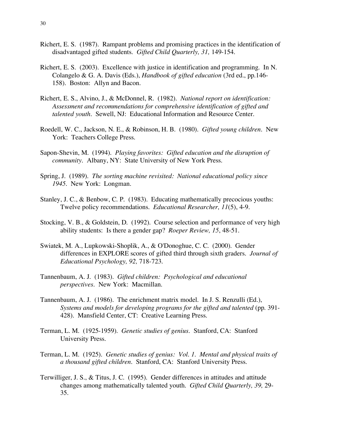- Richert, E. S. (1987). Rampant problems and promising practices in the identification of disadvantaged gifted students. *Gifted Child Quarterly, 31,* 149-154.
- Richert, E. S. (2003). Excellence with justice in identification and programming. In N. Colangelo & G. A. Davis (Eds.), *Handbook of gifted education* (3rd ed., pp.146- 158). Boston: Allyn and Bacon.
- Richert, E. S., Alvino, J., & McDonnel, R. (1982). *National report on identification: Assessment and recommendations for comprehensive identification of gifted and talented youth.* Sewell, NJ: Educational Information and Resource Center.
- Roedell, W. C., Jackson, N. E., & Robinson, H. B. (1980). *Gifted young children.* New York: Teachers College Press.
- Sapon-Shevin, M. (1994). *Playing favorites: Gifted education and the disruption of community.* Albany, NY: State University of New York Press.
- Spring, J. (1989). *The sorting machine revisited: National educational policy since 1945.* New York: Longman.
- Stanley, J. C., & Benbow, C. P. (1983). Educating mathematically precocious youths: Twelve policy recommendations. *Educational Researcher, 11*(5), 4-9.
- Stocking, V. B., & Goldstein, D. (1992). Course selection and performance of very high ability students: Is there a gender gap? *Roeper Review, 15*, 48-51.
- Swiatek, M. A., Lupkowski-Shoplik, A., & O'Donoghue, C. C. (2000). Gender differences in EXPLORE scores of gifted third through sixth graders. *Journal of Educational Psychology, 92,* 718-723.
- Tannenbaum, A. J. (1983). *Gifted children: Psychological and educational perspectives.* New York: Macmillan.
- Tannenbaum, A. J. (1986). The enrichment matrix model. In J. S. Renzulli (Ed.), *Systems and models for developing programs for the gifted and talented* (pp. 391- 428). Mansfield Center, CT: Creative Learning Press.
- Terman, L. M. (1925-1959). *Genetic studies of genius.* Stanford, CA: Stanford University Press.
- Terman, L. M. (1925). *Genetic studies of genius: Vol. 1. Mental and physical traits of a thousand gifted children.* Stanford, CA: Stanford University Press.
- Terwilliger, J. S., & Titus, J. C. (1995). Gender differences in attitudes and attitude changes among mathematically talented youth. *Gifted Child Quarterly, 39,* 29- 35.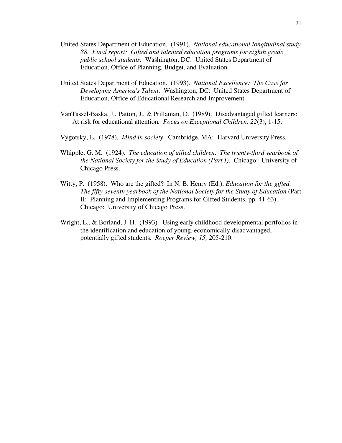- United States Department of Education. (1991). *National educational longitudinal study 88. Final report: Gifted and talented education programs for eighth grade public school students.* Washington, DC: United States Department of Education, Office of Planning, Budget, and Evaluation.
- United States Department of Education. (1993). *National Excellence: The Case for Developing America's Talent.* Washington, DC: United States Department of Education, Office of Educational Research and Improvement.
- VanTassel-Baska, J., Patton, J., & Prillaman, D. (1989). Disadvantaged gifted learners: At risk for educational attention. *Focus on Exceptional Children, 22*(3), 1-15.
- Vygotsky, L. (1978). *Mind in society*. Cambridge, MA: Harvard University Press.
- Whipple, G. M. (1924). *The education of gifted children. The twenty-third yearbook of the National Society for the Study of Education (Part I).* Chicago: University of Chicago Press.
- Witty, P. (1958). Who are the gifted? In N. B. Henry (Ed.), *Education for the gifted. The fifty-seventh yearbook of the National Society for the Study of Education* (Part II: Planning and Implementing Programs for Gifted Students, pp. 41-63). Chicago: University of Chicago Press.
- Wright, L., & Borland, J. H. (1993). Using early childhood developmental portfolios in the identification and education of young, economically disadvantaged, potentially gifted students. *Roeper Review, 15,* 205-210.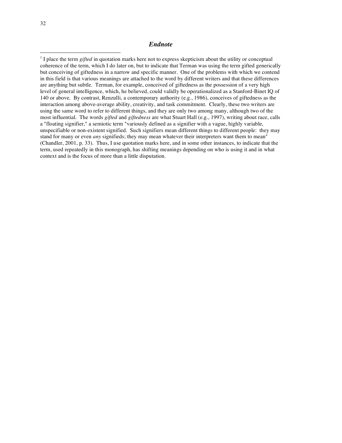#### *Endnote*

<sup>&</sup>lt;sup>1</sup> I place the term *gifted* in quotation marks here not to express skepticism about the utility or conceptual coherence of the term, which I do later on, but to indicate that Terman was using the term gifted generically but conceiving of giftedness in a narrow and specific manner. One of the problems with which we contend in this field is that various meanings are attached to the word by different writers and that these differences are anything but subtle. Terman, for example, conceived of giftedness as the possession of a very high level of general intelligence, which, he believed, could validly be operationalized as a Stanford-Binet IQ of 140 or above. By contrast, Renzulli, a contemporary authority (e.g., 1986), conceives of giftedness as the interaction among above-average ability, creativity, and task commitment. Clearly, these two writers are using the same word to refer to different things, and they are only two among many, although two of the most influential. The words *gifted* and *giftedness* are what Stuart Hall (e.g., 1997), writing about race, calls a "floating signifier," a semiotic term "variously defined as a signifier with a vague, highly variable, unspecifiable or non-existent signified. Such signifiers mean different things to different people: they may stand for many or even *any* signifieds; they may mean whatever their interpreters want them to mean" (Chandler, 2001, p. 33). Thus, I use quotation marks here, and in some other instances, to indicate that the term, used repeatedly in this monograph, has shifting meanings depending on who is using it and in what context and is the focus of more than a little disputation.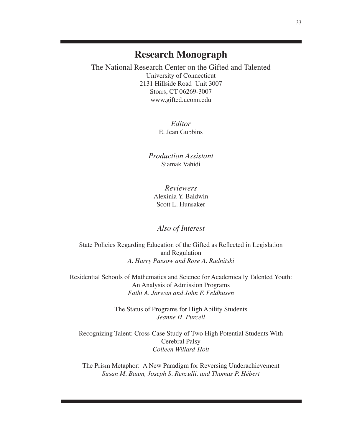# **Research Monograph**

The National Research Center on the Gifted and Talented University of Connecticut 2131 Hillside Road Unit 3007 Storrs, CT 06269-3007 www.gifted.uconn.edu

> *Editor* E. Jean Gubbins

*Production Assistant* Siamak Vahidi

*Reviewers* Alexinia Y. Baldwin Scott L. Hunsaker

*Also of Interest*

State Policies Regarding Education of the Gifted as Reflected in Legislation and Regulation *A. Harry Passow and Rose A. Rudnitski*

Residential Schools of Mathematics and Science for Academically Talented Youth: An Analysis of Admission Programs *Fathi A. Jarwan and John F. Feldhusen*

> The Status of Programs for High Ability Students *Jeanne H. Purcell*

Recognizing Talent: Cross-Case Study of Two High Potential Students With Cerebral Palsy *Colleen Willard-Holt*

The Prism Metaphor: A New Paradigm for Reversing Underachievement *Susan M. Baum, Joseph S. Renzulli, and Thomas P. Hébert*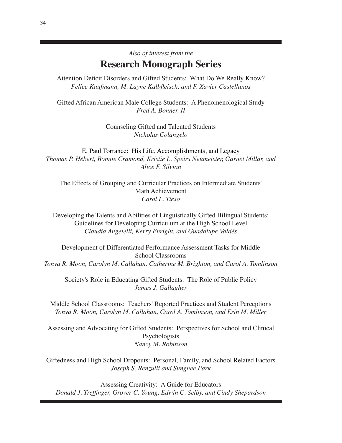# *Also of interest from the* **Research Monograph Series**

Attention Deficit Disorders and Gifted Students: What Do We Really Know? *Felice Kaufmann, M. Layne Kalbfleisch, and F. Xavier Castellanos*

Gifted African American Male College Students: A Phenomenological Study *Fred A. Bonner, II*

> Counseling Gifted and Talented Students *Nicholas Colangelo*

E. Paul Torrance: His Life, Accomplishments, and Legacy *Thomas P. Hébert, Bonnie Cramond, Kristie L. Speirs Neumeister, Garnet Millar, and Alice F. Silvian*

The Effects of Grouping and Curricular Practices on Intermediate Students' Math Achievement *Carol L. Tieso*

Developing the Talents and Abilities of Linguistically Gifted Bilingual Students: Guidelines for Developing Curriculum at the High School Level *Claudia Angelelli, Kerry Enright, and Guadalupe Valdés*

Development of Differentiated Performance Assessment Tasks for Middle School Classrooms *Tonya R. Moon, Carolyn M. Callahan, Catherine M. Brighton, and Carol A. Tomlinson*

Society's Role in Educating Gifted Students: The Role of Public Policy *James J. Gallagher*

Middle School Classrooms: Teachers' Reported Practices and Student Perceptions *Tonya R. Moon, Carolyn M. Callahan, Carol A. Tomlinson, and Erin M. Miller*

Assessing and Advocating for Gifted Students: Perspectives for School and Clinical Psychologists *Nancy M. Robinson*

Giftedness and High School Dropouts: Personal, Family, and School Related Factors *Joseph S. Renzulli and Sunghee Park*

Assessing Creativity: A Guide for Educators *Donald J. Treffinger, Grover C. Young, Edwin C. Selby, and Cindy Shepardson*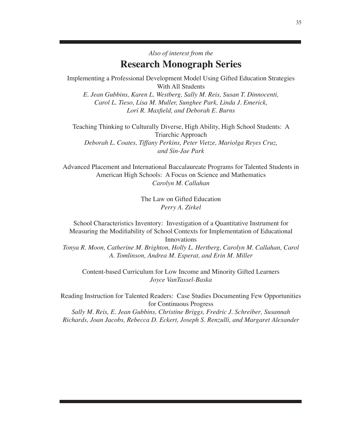# *Also of interest from the* **Research Monograph Series**

Implementing a Professional Development Model Using Gifted Education Strategies With All Students

*E. Jean Gubbins, Karen L. Westberg, Sally M. Reis, Susan T. Dinnocenti, Carol L. Tieso, Lisa M. Muller, Sunghee Park, Linda J. Emerick, Lori R. Maxfield, and Deborah E. Burns*

Teaching Thinking to Culturally Diverse, High Ability, High School Students: A Triarchic Approach *Deborah L. Coates, Tiffany Perkins, Peter Vietze, Mariolga Reyes Cruz, and Sin-Jae Park*

Advanced Placement and International Baccalaureate Programs for Talented Students in American High Schools: A Focus on Science and Mathematics *Carolyn M. Callahan*

> The Law on Gifted Education *Perry A. Zirkel*

School Characteristics Inventory: Investigation of a Quantitative Instrument for Measuring the Modifiability of School Contexts for Implementation of Educational Innovations

*Tonya R. Moon, Catherine M. Brighton, Holly L. Hertberg, Carolyn M. Callahan, Carol A. Tomlinson, Andrea M. Esperat, and Erin M. Miller*

Content-based Curriculum for Low Income and Minority Gifted Learners *Joyce VanTassel-Baska*

Reading Instruction for Talented Readers: Case Studies Documenting Few Opportunities for Continuous Progress

*Sally M. Reis, E. Jean Gubbins, Christine Briggs, Fredric J. Schreiber, Susannah Richards, Joan Jacobs, Rebecca D. Eckert, Joseph S. Renzulli, and Margaret Alexander*